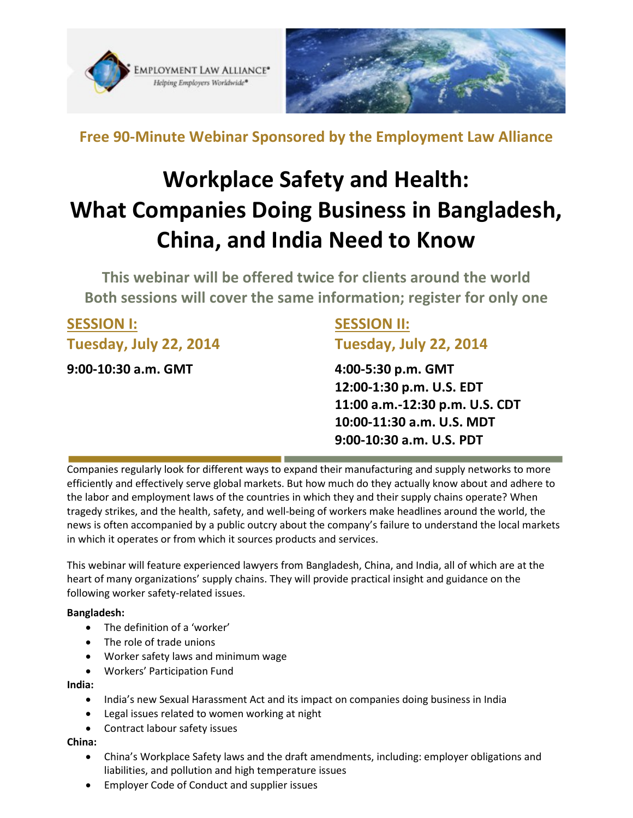



**Free 90-Minute Webinar Sponsored by the Employment Law Alliance**

# **Workplace Safety and Health: What Companies Doing Business in Bangladesh, China, and India Need to Know**

**This webinar will be offered twice for clients around the world Both sessions will cover the same information; register for only one**

| <b>SESSION I:</b>      | <b>SESSION II:</b>             |
|------------------------|--------------------------------|
| Tuesday, July 22, 2014 | Tuesday, July 22, 2014         |
| 9:00-10:30 a.m. GMT    | 4:00-5:30 p.m. GMT             |
|                        | 12:00-1:30 p.m. U.S. EDT       |
|                        | 11:00 a.m.-12:30 p.m. U.S. CDT |
|                        | 10:00-11:30 a.m. U.S. MDT      |
|                        | 9:00-10:30 a.m. U.S. PDT       |

Companies regularly look for different ways to expand their manufacturing and supply networks to more efficiently and effectively serve global markets. But how much do they actually know about and adhere to the labor and employment laws of the countries in which they and their supply chains operate? When tragedy strikes, and the health, safety, and well-being of workers make headlines around the world, the news is often accompanied by a public outcry about the company's failure to understand the local markets in which it operates or from which it sources products and services.

This webinar will feature experienced lawyers from Bangladesh, China, and India, all of which are at the heart of many organizations' supply chains. They will provide practical insight and guidance on the following worker safety-related issues.

### **Bangladesh:**

- The definition of a 'worker'
- The role of trade unions
- Worker safety laws and minimum wage
- Workers' Participation Fund

### **India:**

- India's new Sexual Harassment Act and its impact on companies doing business in India
- Legal issues related to women working at night
- Contract labour safety issues

### **China:**

- China's Workplace Safety laws and the draft amendments, including: employer obligations and liabilities, and pollution and high temperature issues
- Employer Code of Conduct and supplier issues